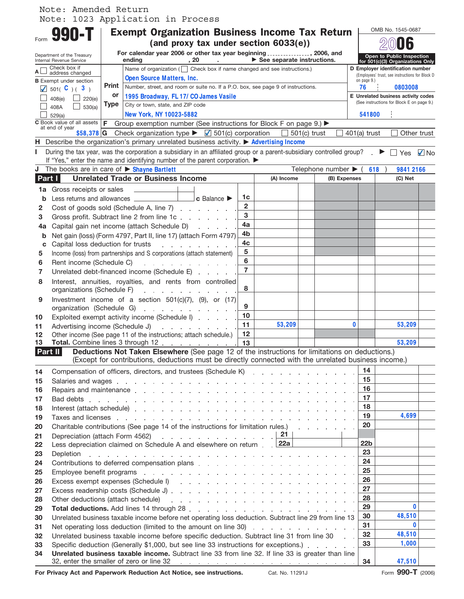## Note: 1023 Application in Process Note: Amended Return

|          | <b>990-T</b>                                                                                                                                                                                                                                      |                                                                                                                                     | <b>Exempt Organization Business Income Tax Return</b>                                                 |                                                          |                                                                                  |                |  |             |                                                               |                    |                                                 |                                                                                  | OMB No. 1545-0687                |             |
|----------|---------------------------------------------------------------------------------------------------------------------------------------------------------------------------------------------------------------------------------------------------|-------------------------------------------------------------------------------------------------------------------------------------|-------------------------------------------------------------------------------------------------------|----------------------------------------------------------|----------------------------------------------------------------------------------|----------------|--|-------------|---------------------------------------------------------------|--------------------|-------------------------------------------------|----------------------------------------------------------------------------------|----------------------------------|-------------|
|          | (and proxy tax under section 6033(e))                                                                                                                                                                                                             |                                                                                                                                     |                                                                                                       |                                                          |                                                                                  |                |  |             |                                                               |                    |                                                 |                                                                                  |                                  |             |
|          | Department of the Treasury<br>Internal Revenue Service                                                                                                                                                                                            | For calendar year 2006 or other tax year beginning , 2006, and<br>$\blacktriangleright$ See separate instructions.<br>ending<br>,20 |                                                                                                       |                                                          |                                                                                  |                |  |             | Open to Public Inspection<br>for 501(c)(3) Organizations Only |                    |                                                 |                                                                                  |                                  |             |
| A∟       | Check box if<br>address changed                                                                                                                                                                                                                   |                                                                                                                                     |                                                                                                       |                                                          | Name of organization ( $\Box$ Check box if name changed and see instructions.)   |                |  |             |                                                               |                    |                                                 |                                                                                  | D Employer identification number |             |
|          | <b>B</b> Exempt under section                                                                                                                                                                                                                     | <b>Open Source Matters, Inc.</b>                                                                                                    |                                                                                                       |                                                          |                                                                                  |                |  |             |                                                               | on page 9.)        | (Employees' trust, see instructions for Block D |                                                                                  |                                  |             |
|          | $\sqrt{501}$ ( C ) ( 3)                                                                                                                                                                                                                           | <b>Print</b>                                                                                                                        |                                                                                                       |                                                          | Number, street, and room or suite no. If a P.O. box, see page 9 of instructions. |                |  |             |                                                               |                    |                                                 | 76<br>0803008                                                                    |                                  |             |
|          | 408(e)<br>220(e)<br>$\Box$                                                                                                                                                                                                                        | or                                                                                                                                  | 1995 Broadway, FL 17/ CO James Vasile                                                                 |                                                          |                                                                                  |                |  |             |                                                               |                    |                                                 | E Unrelated business activity codes<br>(See instructions for Block E on page 9.) |                                  |             |
|          | 530(a)<br>408A                                                                                                                                                                                                                                    | <b>Type</b>                                                                                                                         | City or town, state, and ZIP code                                                                     |                                                          |                                                                                  |                |  |             |                                                               |                    |                                                 |                                                                                  |                                  |             |
|          | 529(a)                                                                                                                                                                                                                                            |                                                                                                                                     | New York, NY 10023-5882                                                                               |                                                          |                                                                                  |                |  |             |                                                               |                    |                                                 | 541800                                                                           |                                  |             |
|          | $\overline{c}$ Book value of all assets $ F$ Group exemption number (See instructions for Block F on page 9.) $\blacktriangleright$<br>at end of year                                                                                             |                                                                                                                                     |                                                                                                       |                                                          |                                                                                  |                |  |             |                                                               |                    |                                                 |                                                                                  |                                  | Other trust |
|          | Check organization type $\blacktriangleright$ $\blacksquare$ 501(c) corporation<br>$$58,378$ G<br>$501(c)$ trust<br>$401(a)$ trust<br>H Describe the organization's primary unrelated business activity. $\blacktriangleright$ Advertising Income |                                                                                                                                     |                                                                                                       |                                                          |                                                                                  |                |  |             |                                                               |                    |                                                 |                                                                                  |                                  |             |
| L.       | During the tax year, was the corporation a subsidiary in an affiliated group or a parent-subsidiary controlled group? $\mathbb{F} \square$ Yes $\Box$ No                                                                                          |                                                                                                                                     |                                                                                                       |                                                          |                                                                                  |                |  |             |                                                               |                    |                                                 |                                                                                  |                                  |             |
|          | If "Yes," enter the name and identifying number of the parent corporation.                                                                                                                                                                        |                                                                                                                                     |                                                                                                       |                                                          |                                                                                  |                |  |             |                                                               |                    |                                                 |                                                                                  |                                  |             |
|          | <b>J</b> The books are in care of $\triangleright$ <b>Shayne Bartlett</b>                                                                                                                                                                         |                                                                                                                                     |                                                                                                       |                                                          |                                                                                  |                |  |             |                                                               | Telephone number ▶ |                                                 | 618                                                                              | 9841 2166                        |             |
| Part I   |                                                                                                                                                                                                                                                   |                                                                                                                                     | <b>Unrelated Trade or Business Income</b>                                                             |                                                          |                                                                                  |                |  | (A) Income  |                                                               | (B) Expenses       |                                                 |                                                                                  | (C) Net                          |             |
| 1a       | Gross receipts or sales                                                                                                                                                                                                                           |                                                                                                                                     |                                                                                                       |                                                          |                                                                                  |                |  |             |                                                               |                    |                                                 |                                                                                  |                                  |             |
| b        |                                                                                                                                                                                                                                                   |                                                                                                                                     |                                                                                                       |                                                          | $ c$ Balance $\blacktriangleright$                                               | 1c             |  |             |                                                               |                    |                                                 |                                                                                  |                                  |             |
| 2        | Cost of goods sold (Schedule A, line 7)                                                                                                                                                                                                           |                                                                                                                                     |                                                                                                       |                                                          |                                                                                  | $\mathbf{2}$   |  |             |                                                               |                    |                                                 |                                                                                  |                                  |             |
| 3        | Gross profit. Subtract line 2 from line 1c                                                                                                                                                                                                        |                                                                                                                                     |                                                                                                       |                                                          |                                                                                  | 3              |  |             |                                                               |                    |                                                 |                                                                                  |                                  |             |
| 4a       | Capital gain net income (attach Schedule D)                                                                                                                                                                                                       |                                                                                                                                     |                                                                                                       |                                                          |                                                                                  | 4a             |  |             |                                                               |                    |                                                 |                                                                                  |                                  |             |
| b        | Net gain (loss) (Form 4797, Part II, line 17) (attach Form 4797)                                                                                                                                                                                  |                                                                                                                                     |                                                                                                       |                                                          |                                                                                  | 4b             |  |             |                                                               |                    |                                                 |                                                                                  |                                  |             |
| c        | Capital loss deduction for trusts                                                                                                                                                                                                                 |                                                                                                                                     |                                                                                                       | and a state of the state                                 |                                                                                  | 4c             |  |             |                                                               |                    |                                                 |                                                                                  |                                  |             |
| 5        | Income (loss) from partnerships and S corporations (attach statement)                                                                                                                                                                             |                                                                                                                                     |                                                                                                       |                                                          |                                                                                  | 5              |  |             |                                                               |                    |                                                 |                                                                                  |                                  |             |
| 6        | Rent income (Schedule C)                                                                                                                                                                                                                          |                                                                                                                                     |                                                                                                       | and a strategic and a strategic                          |                                                                                  | 6              |  |             |                                                               |                    |                                                 |                                                                                  |                                  |             |
| 7        | Unrelated debt-financed income (Schedule E) [16]                                                                                                                                                                                                  |                                                                                                                                     |                                                                                                       |                                                          |                                                                                  | $\overline{7}$ |  |             |                                                               |                    |                                                 |                                                                                  |                                  |             |
| 8        | Interest, annuities, royalties, and rents from controlled                                                                                                                                                                                         |                                                                                                                                     |                                                                                                       |                                                          |                                                                                  | 8              |  |             |                                                               |                    |                                                 |                                                                                  |                                  |             |
|          | organizations (Schedule F)                                                                                                                                                                                                                        |                                                                                                                                     |                                                                                                       | $\mathcal{A}$ . The second contribution of $\mathcal{A}$ |                                                                                  |                |  |             |                                                               |                    |                                                 |                                                                                  |                                  |             |
| 9        | Investment income of a section $501(c)(7)$ , $(9)$ , or $(17)$                                                                                                                                                                                    |                                                                                                                                     |                                                                                                       |                                                          |                                                                                  | 9              |  |             |                                                               |                    |                                                 |                                                                                  |                                  |             |
| 10       | organization (Schedule G)                                                                                                                                                                                                                         |                                                                                                                                     |                                                                                                       |                                                          |                                                                                  | 10             |  |             |                                                               |                    |                                                 |                                                                                  |                                  |             |
| 11       | Exploited exempt activity income (Schedule I)<br>Advertising income (Schedule J)                                                                                                                                                                  |                                                                                                                                     |                                                                                                       | the company of the company of                            |                                                                                  | 11             |  | 53,209      |                                                               |                    | 0                                               |                                                                                  | 53,209                           |             |
| 12       | Other income (See page 11 of the instructions; attach schedule.)                                                                                                                                                                                  |                                                                                                                                     |                                                                                                       |                                                          |                                                                                  | $12$           |  |             |                                                               |                    |                                                 |                                                                                  |                                  |             |
| 13       | Total. Combine lines 3 through 12                                                                                                                                                                                                                 |                                                                                                                                     |                                                                                                       |                                                          |                                                                                  | 13             |  |             |                                                               |                    |                                                 |                                                                                  | 53,209                           |             |
| Part II  |                                                                                                                                                                                                                                                   |                                                                                                                                     | Deductions Not Taken Elsewhere (See page 12 of the instructions for limitations on deductions.)       |                                                          |                                                                                  |                |  |             |                                                               |                    |                                                 |                                                                                  |                                  |             |
|          |                                                                                                                                                                                                                                                   |                                                                                                                                     | (Except for contributions, deductions must be directly connected with the unrelated business income.) |                                                          |                                                                                  |                |  |             |                                                               |                    |                                                 |                                                                                  |                                  |             |
| 14       |                                                                                                                                                                                                                                                   |                                                                                                                                     |                                                                                                       |                                                          |                                                                                  |                |  |             |                                                               |                    |                                                 | 14                                                                               |                                  |             |
| 15       | Salaries and wages entertainment of the contract of the contract of the contract of the contract of the contract of the contract of the contract of the contract of the contract of the contract of the contract of the contra                    |                                                                                                                                     |                                                                                                       |                                                          |                                                                                  |                |  |             |                                                               |                    |                                                 | 15                                                                               |                                  |             |
| 16       |                                                                                                                                                                                                                                                   |                                                                                                                                     |                                                                                                       |                                                          |                                                                                  |                |  |             |                                                               |                    |                                                 | 16                                                                               |                                  |             |
| 17       | Bad debts research and a contract of the contract of the contract of the contract of the contract of the contract of the contract of the contract of the contract of the contract of the contract of the contract of the contr                    |                                                                                                                                     |                                                                                                       |                                                          |                                                                                  |                |  |             |                                                               |                    |                                                 | 17                                                                               |                                  |             |
| 18       |                                                                                                                                                                                                                                                   |                                                                                                                                     |                                                                                                       |                                                          |                                                                                  |                |  |             |                                                               |                    |                                                 | 18                                                                               |                                  |             |
| 19       | Taxes and licenses with a contract of the contract of the contract of the contract of the contract of the contract of the contract of the contract of the contract of the contract of the contract of the contract of the cont                    |                                                                                                                                     |                                                                                                       |                                                          |                                                                                  |                |  |             |                                                               |                    |                                                 | 19<br>20                                                                         | 4,699                            |             |
| 20       | Charitable contributions (See page 14 of the instructions for limitation rules.)                                                                                                                                                                  |                                                                                                                                     |                                                                                                       |                                                          |                                                                                  |                |  | $\sqrt{21}$ | and the company of the com-                                   |                    |                                                 |                                                                                  |                                  |             |
| 21       | Depreciation (attach Form 4562)<br>Less depreciation claimed on Schedule A and elsewhere on return [22a]                                                                                                                                          |                                                                                                                                     |                                                                                                       |                                                          | the contract of the contract of the contract of                                  |                |  |             |                                                               |                    |                                                 | 22 <sub>b</sub>                                                                  |                                  |             |
| 22<br>23 | Depletion                                                                                                                                                                                                                                         |                                                                                                                                     | and the contract of the contract of the contract of the contract of the contract of the contract of   |                                                          |                                                                                  |                |  |             |                                                               |                    |                                                 | 23                                                                               |                                  |             |
| 24       | Contributions to deferred compensation plans enterstanding to the contributions to deferred compensation plans                                                                                                                                    |                                                                                                                                     |                                                                                                       |                                                          |                                                                                  |                |  |             |                                                               |                    |                                                 | 24                                                                               |                                  |             |
| 25       |                                                                                                                                                                                                                                                   |                                                                                                                                     |                                                                                                       |                                                          |                                                                                  |                |  |             |                                                               |                    |                                                 | 25                                                                               |                                  |             |
| 26       | Excess exempt expenses (Schedule I) (excess exempt expenses (Schedule I) (excess exempt expenses (Schedule I)                                                                                                                                     |                                                                                                                                     |                                                                                                       |                                                          |                                                                                  |                |  |             |                                                               |                    |                                                 | 26                                                                               |                                  |             |
| 27       |                                                                                                                                                                                                                                                   |                                                                                                                                     |                                                                                                       |                                                          |                                                                                  |                |  |             |                                                               |                    |                                                 | 27                                                                               |                                  |             |
| 28       | Other deductions (attach schedule) expansion and a series and a series of the series of the series of the series of the series of the series of the series of the series of the series of the series of the series of the seri                    |                                                                                                                                     |                                                                                                       |                                                          |                                                                                  |                |  |             |                                                               |                    |                                                 | 28                                                                               |                                  |             |
| 29       |                                                                                                                                                                                                                                                   |                                                                                                                                     |                                                                                                       |                                                          |                                                                                  |                |  |             |                                                               |                    |                                                 | 29                                                                               |                                  | $\bf{0}$    |
| 30       | Unrelated business taxable income before net operating loss deduction. Subtract line 29 from line 13                                                                                                                                              |                                                                                                                                     |                                                                                                       |                                                          |                                                                                  |                |  |             |                                                               |                    |                                                 | 30                                                                               | 48,510                           |             |
| 31       | Net operating loss deduction (limited to the amount on line 30)                                                                                                                                                                                   |                                                                                                                                     |                                                                                                       |                                                          |                                                                                  |                |  |             |                                                               |                    |                                                 | 31                                                                               |                                  | $\bf{0}$    |
| 32       | Unrelated business taxable income before specific deduction. Subtract line 31 from line 30                                                                                                                                                        |                                                                                                                                     |                                                                                                       |                                                          |                                                                                  |                |  |             |                                                               |                    |                                                 | 32                                                                               | 48,510                           |             |
| 33       | Specific deduction (Generally \$1,000, but see line 33 instructions for exceptions.)                                                                                                                                                              |                                                                                                                                     |                                                                                                       |                                                          |                                                                                  |                |  |             |                                                               |                    |                                                 | 33                                                                               | 1,000                            |             |
| 34       | Unrelated business taxable income. Subtract line 33 from line 32. If line 33 is greater than line<br>32, enter the smaller of zero or line 32                                                                                                     |                                                                                                                                     |                                                                                                       |                                                          |                                                                                  |                |  |             |                                                               |                    |                                                 | 34                                                                               | 47,510                           |             |
|          |                                                                                                                                                                                                                                                   |                                                                                                                                     |                                                                                                       |                                                          | the contract of the contract of the contract of the contract of the contract of  |                |  |             |                                                               |                    |                                                 |                                                                                  |                                  |             |

**For Privacy Act and Paperwork Reduction Act Notice, see instructions.**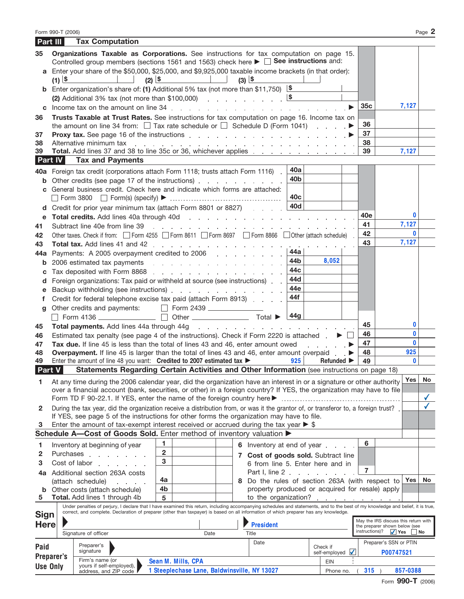| Part III        |                     | <b>Tax Computation</b>                                                                                                                                                                                                                                                                                                    |                                                                                                                                                                                                                                |                                                                                                                 |                 |                                    |                 |                                      |                              |
|-----------------|---------------------|---------------------------------------------------------------------------------------------------------------------------------------------------------------------------------------------------------------------------------------------------------------------------------------------------------------------------|--------------------------------------------------------------------------------------------------------------------------------------------------------------------------------------------------------------------------------|-----------------------------------------------------------------------------------------------------------------|-----------------|------------------------------------|-----------------|--------------------------------------|------------------------------|
| 35              |                     | Organizations Taxable as Corporations. See instructions for tax computation on page 15.<br>Controlled group members (sections 1561 and 1563) check here $\blacktriangleright \Box$ See instructions and:                                                                                                                  |                                                                                                                                                                                                                                |                                                                                                                 |                 |                                    |                 |                                      |                              |
|                 | $(1)$ $\frac{1}{5}$ | a Enter your share of the \$50,000, \$25,000, and \$9,925,000 taxable income brackets (in that order):                                                                                                                                                                                                                    | $\begin{array}{ c c c c c }\n\hline\n\text{(3)} & \text{(3)} & \text{(4)}\n\end{array}$<br>$(2)$ $\frac{15}{2}$                                                                                                                |                                                                                                                 |                 |                                    |                 |                                      |                              |
| b               |                     | Enter organization's share of: (1) Additional 5% tax (not more than \$11,750) $\frac{16}{15}$<br>(2) Additional 3% tax (not more than \$100,000) $\sqrt{8}$                                                                                                                                                               |                                                                                                                                                                                                                                |                                                                                                                 |                 |                                    |                 |                                      |                              |
| C               |                     |                                                                                                                                                                                                                                                                                                                           |                                                                                                                                                                                                                                |                                                                                                                 |                 |                                    | 35 <sub>c</sub> | 7,127                                |                              |
| 36              |                     | Trusts Taxable at Trust Rates. See instructions for tax computation on page 16. Income tax on<br>the amount on line 34 from: $\Box$ Tax rate schedule or $\Box$ Schedule D (Form 1041) $\blacktriangleright$                                                                                                              |                                                                                                                                                                                                                                |                                                                                                                 |                 |                                    | 36              |                                      |                              |
| 37              |                     |                                                                                                                                                                                                                                                                                                                           |                                                                                                                                                                                                                                |                                                                                                                 |                 |                                    | 37              |                                      |                              |
| 38              |                     | Alternative minimum tax in the contract of the contract of the contract of the contract of the contract of the contract of the contract of the contract of the contract of the contract of the contract of the contract of the                                                                                            |                                                                                                                                                                                                                                |                                                                                                                 |                 |                                    | 38              |                                      |                              |
| 39              |                     | Total. Add lines 37 and 38 to line 35c or 36, whichever applies [11] Add lines 37 and 38 to line 35c or 36, whichever applies                                                                                                                                                                                             |                                                                                                                                                                                                                                |                                                                                                                 |                 | and the company of                 | 39              | 7,127                                |                              |
|                 | <b>Part IV</b>      | <b>Tax and Payments</b>                                                                                                                                                                                                                                                                                                   |                                                                                                                                                                                                                                |                                                                                                                 |                 |                                    |                 |                                      |                              |
| 40a             |                     | Foreign tax credit (corporations attach Form 1118; trusts attach Form 1116).                                                                                                                                                                                                                                              |                                                                                                                                                                                                                                |                                                                                                                 | 40a             |                                    |                 |                                      |                              |
| b               |                     | Other credits (see page 17 of the instructions) entertainment of the contract of the instructions)                                                                                                                                                                                                                        |                                                                                                                                                                                                                                |                                                                                                                 | 40 <sub>b</sub> |                                    |                 |                                      |                              |
|                 |                     | General business credit. Check here and indicate which forms are attached:                                                                                                                                                                                                                                                |                                                                                                                                                                                                                                |                                                                                                                 | 40 <sub>c</sub> |                                    |                 |                                      |                              |
| d               |                     | Credit for prior year minimum tax (attach Form 8801 or 8827)                                                                                                                                                                                                                                                              |                                                                                                                                                                                                                                |                                                                                                                 | 40d             |                                    |                 |                                      |                              |
| е               |                     |                                                                                                                                                                                                                                                                                                                           |                                                                                                                                                                                                                                |                                                                                                                 |                 |                                    | 40e             | 0                                    |                              |
| 41              |                     | Subtract line 40e from line 39                                                                                                                                                                                                                                                                                            | a construction of the contract of the construction of the construction of the construction of the construction of the construction of the construction of the construction of the construction of the construction of the cons |                                                                                                                 |                 |                                    | 41              | 7,127                                |                              |
| 42              |                     | Other taxes. Check if from: Form 4255 Form 8611 Form 8697 Form 8866 Obther (attach schedule)                                                                                                                                                                                                                              |                                                                                                                                                                                                                                |                                                                                                                 |                 |                                    | 42              | $\mathbf{0}$                         |                              |
| 43              |                     |                                                                                                                                                                                                                                                                                                                           |                                                                                                                                                                                                                                |                                                                                                                 |                 |                                    | 43              | 7,127                                |                              |
| 44a             |                     | Payments: A 2005 overpayment credited to 2006                                                                                                                                                                                                                                                                             |                                                                                                                                                                                                                                |                                                                                                                 | 44a             |                                    |                 |                                      |                              |
| b               |                     | 2006 estimated tax payments expansion and a set of the set of the set of the set of the set of the set of the set of the set of the set of the set of the set of the set of the set of the set of the set of the set of the se                                                                                            |                                                                                                                                                                                                                                |                                                                                                                 | 44b             | 8,052                              |                 |                                      |                              |
| с               |                     | Tax deposited with Form 8868 resources and resources and resources and resources and resources and resources and resources and resources and resources and resources and resources and resources and resources and resources a                                                                                            |                                                                                                                                                                                                                                |                                                                                                                 | 44c             |                                    |                 |                                      |                              |
| d               |                     | Foreign organizations: Tax paid or withheld at source (see instructions)                                                                                                                                                                                                                                                  |                                                                                                                                                                                                                                |                                                                                                                 | 44d             |                                    |                 |                                      |                              |
| е               |                     |                                                                                                                                                                                                                                                                                                                           |                                                                                                                                                                                                                                |                                                                                                                 | 44e             |                                    |                 |                                      |                              |
|                 |                     | Credit for federal telephone excise tax paid (attach Form 8913)                                                                                                                                                                                                                                                           |                                                                                                                                                                                                                                |                                                                                                                 | 44f             |                                    |                 |                                      |                              |
| g               |                     | Other credits and payments:                                                                                                                                                                                                                                                                                               | Form 2439                                                                                                                                                                                                                      |                                                                                                                 |                 |                                    |                 |                                      |                              |
|                 |                     | Form 4136 $\qquad \qquad \Box$                                                                                                                                                                                                                                                                                            | Other <u>Contact</u> Total ▶                                                                                                                                                                                                   |                                                                                                                 | 44g             |                                    |                 |                                      |                              |
| 45              |                     | Total payments. Add lines 44a through 44g                                                                                                                                                                                                                                                                                 |                                                                                                                                                                                                                                |                                                                                                                 |                 |                                    | 45              | 0                                    |                              |
|                 |                     |                                                                                                                                                                                                                                                                                                                           |                                                                                                                                                                                                                                | the contract of the contract of the contract of the contract of the contract of the contract of the contract of |                 |                                    | 46              | 0                                    |                              |
| 46              |                     | Estimated tax penalty (see page 4 of the instructions). Check if Form 2220 is attached $\blacksquare$                                                                                                                                                                                                                     |                                                                                                                                                                                                                                |                                                                                                                 |                 |                                    | 47              | $\mathbf{0}$                         |                              |
| 47<br>48        |                     | Tax due. If line 45 is less than the total of lines 43 and 46, enter amount owed<br><b>Overpayment.</b> If line 45 is larger than the total of lines 43 and 46, enter amount overpaid.                                                                                                                                    |                                                                                                                                                                                                                                |                                                                                                                 |                 | and a state of                     | 48              | 925                                  |                              |
| 49              |                     | Enter the amount of line 48 you want: Credited to 2007 estimated tax $\blacktriangleright$                                                                                                                                                                                                                                |                                                                                                                                                                                                                                |                                                                                                                 | 925             | Refunded $\blacktriangleright$     | 49              | $\mathbf{u}$                         |                              |
| Part V          |                     | Statements Regarding Certain Activities and Other Information (see instructions on page 18)                                                                                                                                                                                                                               |                                                                                                                                                                                                                                |                                                                                                                 |                 |                                    |                 |                                      |                              |
|                 |                     |                                                                                                                                                                                                                                                                                                                           |                                                                                                                                                                                                                                |                                                                                                                 |                 |                                    |                 | Yes                                  |                              |
| 1               |                     | At any time during the 2006 calendar year, did the organization have an interest in or a signature or other authority                                                                                                                                                                                                     |                                                                                                                                                                                                                                |                                                                                                                 |                 |                                    |                 |                                      | <b>No</b>                    |
|                 |                     | over a financial account (bank, securities, or other) in a foreign country? If YES, the organization may have to file                                                                                                                                                                                                     |                                                                                                                                                                                                                                |                                                                                                                 |                 |                                    |                 |                                      |                              |
|                 |                     |                                                                                                                                                                                                                                                                                                                           |                                                                                                                                                                                                                                |                                                                                                                 |                 |                                    |                 |                                      | $\checkmark$<br>$\checkmark$ |
| $\mathbf{2}$    |                     | During the tax year, did the organization receive a distribution from, or was it the grantor of, or transferor to, a foreign trust?.                                                                                                                                                                                      |                                                                                                                                                                                                                                |                                                                                                                 |                 |                                    |                 |                                      |                              |
|                 |                     | If YES, see page 5 of the instructions for other forms the organization may have to file.                                                                                                                                                                                                                                 |                                                                                                                                                                                                                                |                                                                                                                 |                 |                                    |                 |                                      |                              |
| 3               |                     | Enter the amount of tax-exempt interest received or accrued during the tax year $\triangleright$ \$                                                                                                                                                                                                                       |                                                                                                                                                                                                                                |                                                                                                                 |                 |                                    |                 |                                      |                              |
|                 |                     | Schedule A-Cost of Goods Sold. Enter method of inventory valuation >                                                                                                                                                                                                                                                      |                                                                                                                                                                                                                                |                                                                                                                 |                 |                                    |                 |                                      |                              |
| 1               |                     | Inventory at beginning of year                                                                                                                                                                                                                                                                                            | 1                                                                                                                                                                                                                              | 6 Inventory at end of year                                                                                      |                 |                                    | 6               |                                      |                              |
| 2               |                     | Purchases and the set of the set of the set of the set of the set of the set of the set of the set of the set o                                                                                                                                                                                                           | $\overline{2}$                                                                                                                                                                                                                 | 7 Cost of goods sold. Subtract line                                                                             |                 |                                    |                 |                                      |                              |
| 3               |                     | Cost of labor extended to the cost of labor                                                                                                                                                                                                                                                                               | 3                                                                                                                                                                                                                              | 6 from line 5. Enter here and in                                                                                |                 |                                    |                 |                                      |                              |
| 4a              |                     | Additional section 263A costs                                                                                                                                                                                                                                                                                             |                                                                                                                                                                                                                                | Part I, line 2                                                                                                  |                 |                                    | 7               |                                      |                              |
|                 |                     | (attach schedule)<br>and the control of                                                                                                                                                                                                                                                                                   | 4a                                                                                                                                                                                                                             | 8 Do the rules of section 263A (with respect to L                                                               |                 |                                    |                 | Yes                                  | No                           |
|                 |                     | <b>b</b> Other costs (attach schedule)                                                                                                                                                                                                                                                                                    | 4b                                                                                                                                                                                                                             | property produced or acquired for resale) apply                                                                 |                 |                                    |                 |                                      |                              |
| 5               |                     | Total. Add lines 1 through 4b                                                                                                                                                                                                                                                                                             | 5                                                                                                                                                                                                                              | to the organization?                                                                                            |                 | design and a state of the state of |                 |                                      |                              |
|                 |                     | Under penalties of perjury, I declare that I have examined this return, including accompanying schedules and statements, and to the best of my knowledge and belief, it is true,<br>correct, and complete. Declaration of preparer (other than taxpayer) is based on all information of which preparer has any knowledge. |                                                                                                                                                                                                                                |                                                                                                                 |                 |                                    |                 |                                      |                              |
| <b>Sign</b>     |                     |                                                                                                                                                                                                                                                                                                                           |                                                                                                                                                                                                                                |                                                                                                                 |                 |                                    |                 | May the IRS discuss this return with |                              |
| Here            |                     |                                                                                                                                                                                                                                                                                                                           |                                                                                                                                                                                                                                | <b>President</b>                                                                                                |                 |                                    |                 | the preparer shown below (see        |                              |
|                 |                     | Signature of officer                                                                                                                                                                                                                                                                                                      | Date                                                                                                                                                                                                                           | Title                                                                                                           |                 |                                    | instructions)?  | $\sqrt{}$ Yes                        | No                           |
| Paid            |                     | Preparer's                                                                                                                                                                                                                                                                                                                |                                                                                                                                                                                                                                | Date                                                                                                            |                 | Check if                           |                 | Preparer's SSN or PTIN               |                              |
|                 | Preparer's          | signature                                                                                                                                                                                                                                                                                                                 |                                                                                                                                                                                                                                |                                                                                                                 |                 | $\sqrt{}$<br>self-employed         |                 | P00747521                            |                              |
|                 |                     | Firm's name (or<br>yours if self-employed),                                                                                                                                                                                                                                                                               | Sean M. Mills, CPA                                                                                                                                                                                                             |                                                                                                                 |                 | EIN                                |                 |                                      |                              |
| <b>Use Only</b> |                     | 1 Steeplechase Lane, Baldwinsville, NY 13027<br>address, and ZIP code                                                                                                                                                                                                                                                     | Phone no.                                                                                                                                                                                                                      | $315$ )                                                                                                         | 857-0388        |                                    |                 |                                      |                              |

Form 990-T (2006) Page **2**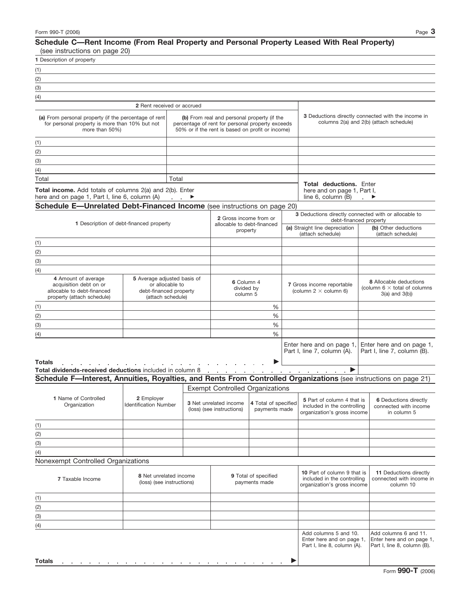## **Schedule C—Rent Income (From Real Property and Personal Property Leased With Real Property)** (see instructions on page 20)

| 1 Description of property                                                                                                                                                                                                                       |                                                     |       |                                                                                                                                                     |                                       |  |                                                                                                               |                                                                                           |  |
|-------------------------------------------------------------------------------------------------------------------------------------------------------------------------------------------------------------------------------------------------|-----------------------------------------------------|-------|-----------------------------------------------------------------------------------------------------------------------------------------------------|---------------------------------------|--|---------------------------------------------------------------------------------------------------------------|-------------------------------------------------------------------------------------------|--|
| (1)                                                                                                                                                                                                                                             |                                                     |       |                                                                                                                                                     |                                       |  |                                                                                                               |                                                                                           |  |
| (2)<br>the control of the control of the control of the control of the control of the control of                                                                                                                                                |                                                     |       |                                                                                                                                                     |                                       |  |                                                                                                               |                                                                                           |  |
| (3)                                                                                                                                                                                                                                             |                                                     |       |                                                                                                                                                     |                                       |  |                                                                                                               |                                                                                           |  |
| (4)                                                                                                                                                                                                                                             |                                                     |       |                                                                                                                                                     |                                       |  |                                                                                                               |                                                                                           |  |
|                                                                                                                                                                                                                                                 | 2 Rent received or accrued                          |       |                                                                                                                                                     |                                       |  |                                                                                                               |                                                                                           |  |
| (a) From personal property (if the percentage of rent<br>for personal property is more than 10% but not<br>more than 50%)                                                                                                                       |                                                     |       | (b) From real and personal property (if the<br>percentage of rent for personal property exceeds<br>50% or if the rent is based on profit or income) |                                       |  | <b>3</b> Deductions directly connected with the income in<br>columns 2(a) and 2(b) (attach schedule)          |                                                                                           |  |
| (1)                                                                                                                                                                                                                                             |                                                     |       |                                                                                                                                                     |                                       |  |                                                                                                               |                                                                                           |  |
| (2)                                                                                                                                                                                                                                             |                                                     |       |                                                                                                                                                     |                                       |  |                                                                                                               |                                                                                           |  |
| (3)<br>the control of the control of the control of the control of the control of the control of                                                                                                                                                |                                                     |       |                                                                                                                                                     |                                       |  |                                                                                                               |                                                                                           |  |
| (4)                                                                                                                                                                                                                                             |                                                     |       |                                                                                                                                                     |                                       |  |                                                                                                               |                                                                                           |  |
| Total                                                                                                                                                                                                                                           |                                                     | Total |                                                                                                                                                     |                                       |  |                                                                                                               |                                                                                           |  |
| Total income. Add totals of columns 2(a) and 2(b). Enter<br>here and on page 1, Part I, line 6, column (A) ▶                                                                                                                                    |                                                     |       |                                                                                                                                                     |                                       |  | <b>Total deductions.</b> Enter<br>here and on page 1, Part I,<br>line 6, column $(B)$ . $\blacktriangleright$ |                                                                                           |  |
| Schedule E-Unrelated Debt-Financed Income (see instructions on page 20)                                                                                                                                                                         |                                                     |       |                                                                                                                                                     |                                       |  |                                                                                                               |                                                                                           |  |
|                                                                                                                                                                                                                                                 |                                                     |       |                                                                                                                                                     |                                       |  |                                                                                                               | 3 Deductions directly connected with or allocable to                                      |  |
|                                                                                                                                                                                                                                                 | 1 Description of debt-financed property             |       | 2 Gross income from or<br>allocable to debt-financed<br>property                                                                                    |                                       |  | (a) Straight line depreciation<br>(attach schedule)                                                           | debt-financed property<br>(b) Other deductions<br>(attach schedule)                       |  |
| (1)                                                                                                                                                                                                                                             |                                                     |       |                                                                                                                                                     |                                       |  |                                                                                                               |                                                                                           |  |
| (2)                                                                                                                                                                                                                                             |                                                     |       |                                                                                                                                                     |                                       |  |                                                                                                               |                                                                                           |  |
| (3)                                                                                                                                                                                                                                             |                                                     |       |                                                                                                                                                     |                                       |  |                                                                                                               |                                                                                           |  |
|                                                                                                                                                                                                                                                 |                                                     |       |                                                                                                                                                     |                                       |  |                                                                                                               |                                                                                           |  |
| (4)<br>4 Amount of average<br>5 Average adjusted basis of<br>acquisition debt on or<br>or allocable to<br>allocable to debt-financed<br>debt-financed property                                                                                  |                                                     |       |                                                                                                                                                     | 6 Column 4<br>divided by<br>column 5  |  | 7 Gross income reportable<br>(column $2 \times$ column 6)                                                     | <b>8</b> Allocable deductions<br>(column $6 \times$ total of columns<br>$3(a)$ and $3(b)$ |  |
| property (attach schedule)                                                                                                                                                                                                                      | (attach schedule)                                   |       |                                                                                                                                                     |                                       |  |                                                                                                               |                                                                                           |  |
| (1)                                                                                                                                                                                                                                             |                                                     |       |                                                                                                                                                     | %                                     |  |                                                                                                               |                                                                                           |  |
| (2)                                                                                                                                                                                                                                             |                                                     |       | %                                                                                                                                                   |                                       |  |                                                                                                               |                                                                                           |  |
| (3)                                                                                                                                                                                                                                             |                                                     |       |                                                                                                                                                     | %                                     |  |                                                                                                               |                                                                                           |  |
| (4)                                                                                                                                                                                                                                             |                                                     |       |                                                                                                                                                     | $\frac{0}{6}$                         |  |                                                                                                               |                                                                                           |  |
| <b>Totals</b><br>Total dividends-received deductions included in column 8                                                                                                                                                                       |                                                     |       | the company of the company of the                                                                                                                   |                                       |  | Enter here and on page 1,<br>Part I, line 7, column (A).<br>$\blacktriangleright$                             | Enter here and on page 1,<br>Part I, line 7, column (B).                                  |  |
| Schedule F-Interest, Annuities, Royalties, and Rents From Controlled Organizations (see instructions on page 21)                                                                                                                                |                                                     |       |                                                                                                                                                     |                                       |  |                                                                                                               |                                                                                           |  |
|                                                                                                                                                                                                                                                 |                                                     |       | <b>Exempt Controlled Organizations</b>                                                                                                              |                                       |  |                                                                                                               |                                                                                           |  |
| 1 Name of Controlled<br>Organization                                                                                                                                                                                                            | 2 Employer<br><b>Identification Number</b>          |       | <b>3</b> Net unrelated income<br>(loss) (see instructions)                                                                                          | 4 Total of specified<br>payments made |  | 5 Part of column 4 that is<br>included in the controlling<br>organization's gross income                      | <b>6</b> Deductions directly<br>connected with income<br>in column 5                      |  |
| (1)                                                                                                                                                                                                                                             |                                                     |       |                                                                                                                                                     |                                       |  |                                                                                                               |                                                                                           |  |
| (2)                                                                                                                                                                                                                                             |                                                     |       |                                                                                                                                                     |                                       |  |                                                                                                               |                                                                                           |  |
| (3)                                                                                                                                                                                                                                             |                                                     |       |                                                                                                                                                     |                                       |  |                                                                                                               |                                                                                           |  |
| (4)                                                                                                                                                                                                                                             |                                                     |       |                                                                                                                                                     |                                       |  |                                                                                                               |                                                                                           |  |
| Nonexempt Controlled Organizations                                                                                                                                                                                                              |                                                     |       |                                                                                                                                                     |                                       |  |                                                                                                               |                                                                                           |  |
|                                                                                                                                                                                                                                                 |                                                     |       |                                                                                                                                                     |                                       |  |                                                                                                               |                                                                                           |  |
| 7 Taxable Income                                                                                                                                                                                                                                | 8 Net unrelated income<br>(loss) (see instructions) |       |                                                                                                                                                     | 9 Total of specified<br>payments made |  | 10 Part of column 9 that is<br>included in the controlling<br>organization's gross income                     | 11 Deductions directly<br>connected with income in<br>column 10                           |  |
| (1)                                                                                                                                                                                                                                             |                                                     |       |                                                                                                                                                     |                                       |  |                                                                                                               |                                                                                           |  |
| (2)                                                                                                                                                                                                                                             |                                                     |       |                                                                                                                                                     |                                       |  |                                                                                                               |                                                                                           |  |
| (3)                                                                                                                                                                                                                                             |                                                     |       |                                                                                                                                                     |                                       |  |                                                                                                               |                                                                                           |  |
| (4)                                                                                                                                                                                                                                             |                                                     |       |                                                                                                                                                     |                                       |  |                                                                                                               |                                                                                           |  |
|                                                                                                                                                                                                                                                 |                                                     |       |                                                                                                                                                     |                                       |  | Add columns 5 and 10.<br>Enter here and on page 1,<br>Part I, line 8, column (A).                             | Add columns 6 and 11.<br>Enter here and on page 1,<br>Part I, line 8, column (B).         |  |
| <b>Totals</b><br>and the company of the company of the company of the company of the company of the company of the company of the company of the company of the company of the company of the company of the company of the company of the comp |                                                     |       |                                                                                                                                                     |                                       |  |                                                                                                               |                                                                                           |  |